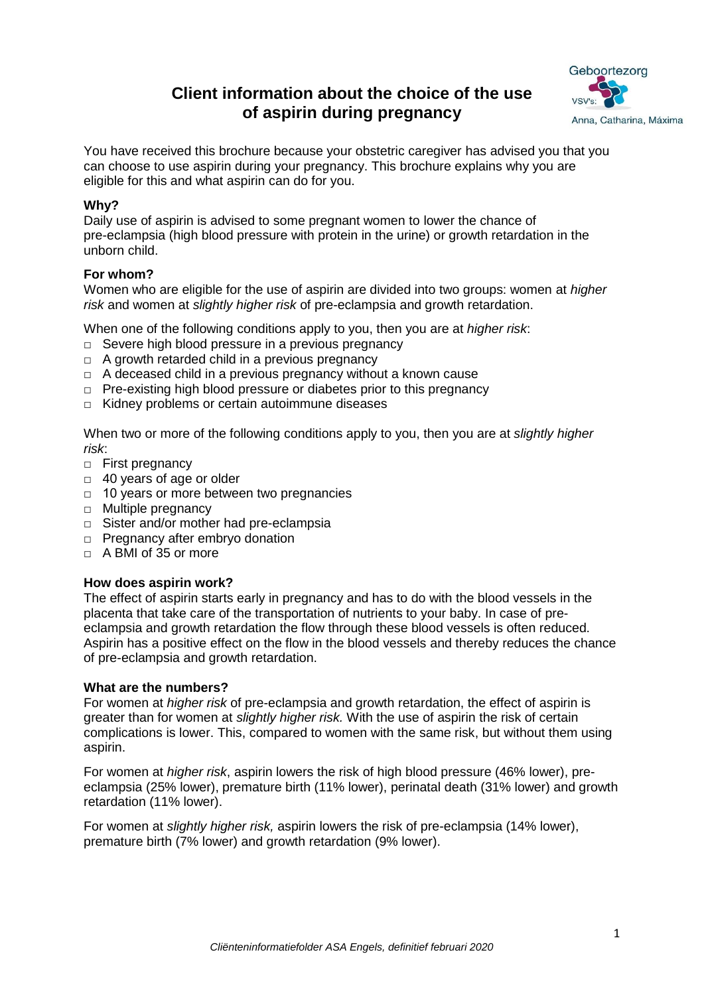# **Client information about the choice of the use of aspirin during pregnancy**



You have received this brochure because your obstetric caregiver has advised you that you can choose to use aspirin during your pregnancy. This brochure explains why you are eligible for this and what aspirin can do for you.

# **Why?**

Daily use of aspirin is advised to some pregnant women to lower the chance of pre-eclampsia (high blood pressure with protein in the urine) or growth retardation in the unborn child.

## **For whom?**

Women who are eligible for the use of aspirin are divided into two groups: women at *higher risk* and women at *slightly higher risk* of pre-eclampsia and growth retardation.

When one of the following conditions apply to you, then you are at *higher risk*:

- □ Severe high blood pressure in a previous pregnancy
- $\Box$  A growth retarded child in a previous pregnancy
- $\Box$  A deceased child in a previous pregnancy without a known cause
- □ Pre-existing high blood pressure or diabetes prior to this pregnancy
- □ Kidney problems or certain autoimmune diseases

When two or more of the following conditions apply to you, then you are at *slightly higher risk*:

- □ First pregnancy
- □ 40 years of age or older
- □ 10 years or more between two pregnancies
- □ Multiple pregnancy
- □ Sister and/or mother had pre-eclampsia
- □ Pregnancy after embryo donation
- □ A BMI of 35 or more

#### **How does aspirin work?**

The effect of aspirin starts early in pregnancy and has to do with the blood vessels in the placenta that take care of the transportation of nutrients to your baby. In case of preeclampsia and growth retardation the flow through these blood vessels is often reduced. Aspirin has a positive effect on the flow in the blood vessels and thereby reduces the chance of pre-eclampsia and growth retardation.

#### **What are the numbers?**

For women at *higher risk* of pre-eclampsia and growth retardation, the effect of aspirin is greater than for women at *slightly higher risk.* With the use of aspirin the risk of certain complications is lower. This, compared to women with the same risk, but without them using aspirin.

For women at *higher risk*, aspirin lowers the risk of high blood pressure (46% lower), preeclampsia (25% lower), premature birth (11% lower), perinatal death (31% lower) and growth retardation (11% lower).

For women at *slightly higher risk,* aspirin lowers the risk of pre-eclampsia (14% lower), premature birth (7% lower) and growth retardation (9% lower).